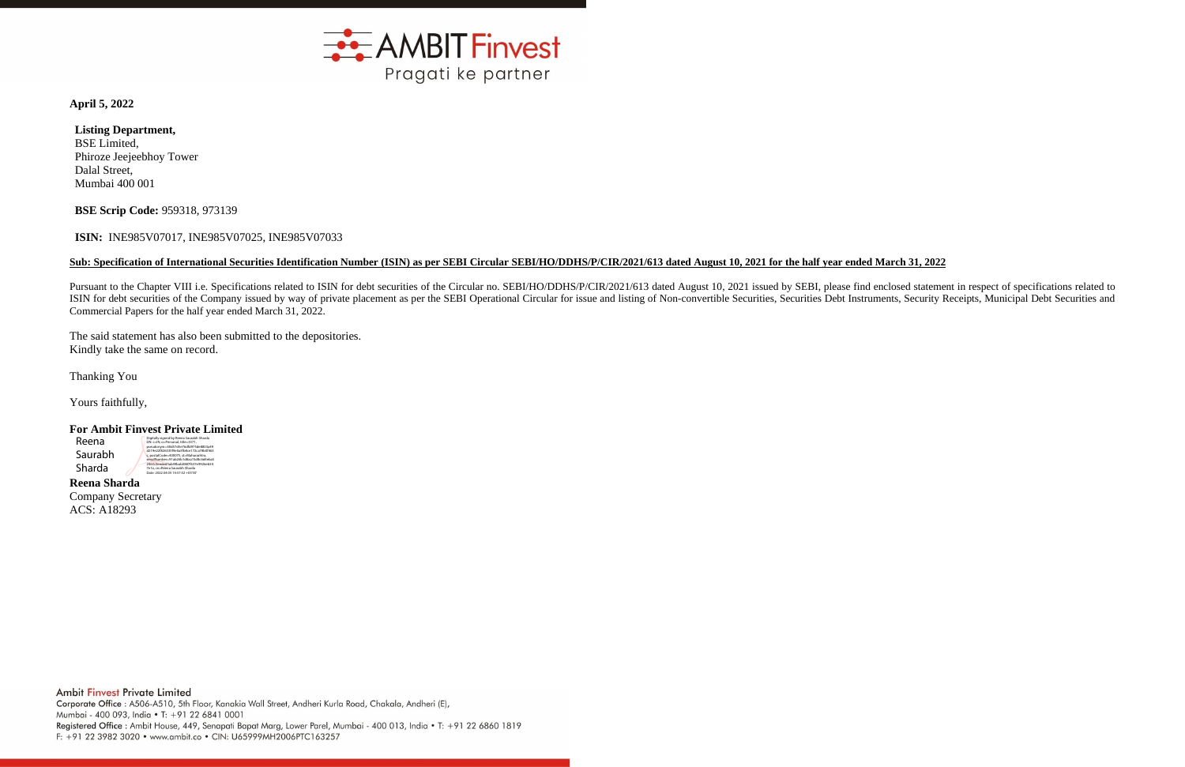

**April 5, 2022**

## **Listing Department,** BSE Limited,

Phiroze Jeejeebhoy Tower Dalal Street, Mumbai 400 001

**BSE Scrip Code:** 959318, 973139

## **ISIN:** INE985V07017, INE985V07025, INE985V07033

## **Sub: Specification of International Securities Identification Number (ISIN) as per SEBI Circular SEBI/HO/DDHS/P/CIR/2021/613 dated August 10, 2021 for the half year ended March 31, 2022**

Pursuant to the Chapter VIII i.e. Specifications related to ISIN for debt securities of the Circular no. SEBI/HO/DDHS/P/CIR/2021/613 dated August 10, 2021 issued by SEBI, please find enclosed statement in respect of specif ISIN for debt securities of the Company issued by way of private placement as per the SEBI Operational Circular for issue and listing of Non-convertible Securities, Securities Debt Instruments, Security Receipts, Municipal Commercial Papers for the half year ended March 31, 2022.

The said statement has also been submitted to the depositories. Kindly take the same on record.

Thanking You

Yours faithfully,

## **For Ambit Finvest Private Limited**

**Reena Sharda** Company Secretary ACS: A18293

Reena Saurabh Sharda

Digitally signed by Reena Saurabh Sharda DN: c=IN, o=Personal, title=3371, pseudonym=38d57d5e76dfd975de8803a49 d219e22f826335f9e0a5fb8ce172ca78b0f463 c, postalCode=400075, st=Maharashtra, serialNumber=91ab26b1d8aa15d8c6d4eba5 2463c2eeded5ab49bab0887f637e9926eb54 7e1a, cn=Reena Saurabh Sharda Date: 2022.04.05 14:57:32 +05'30'